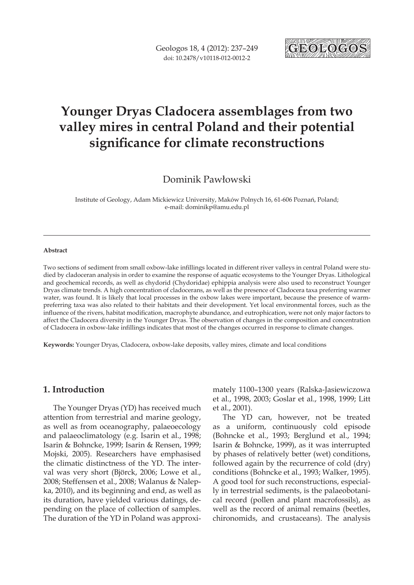

# **Younger Dryas Cladocera assemblages from two valley mires in central Poland and their potential significance for climate reconstructions**

Dominik Pawłowski

Institute of Geology, Adam Mickiewicz University, Maków Polnych 16, 61-606 Poznań, Poland; e-mail: dominikp@amu.edu.pl

#### **Abstract**

Two sections of sediment from small oxbow-lake infillings located in different river valleys in central Poland were studied by cladoceran analysis in order to examine the response of aquatic ecosystems to the Younger Dryas. Lithological and geochemical records, as well as chydorid (Chydoridae) ephippia analysis were also used to reconstruct Younger Dryas climate trends. A high concentration of cladocerans, as well as the presence of Cladocera taxa preferring warmer water, was found. It is likely that local processes in the oxbow lakes were important, because the presence of warmpreferring taxa was also related to their habitats and their development. Yet local environmental forces, such as the influence of the rivers, habitat modification, macrophyte abundance, and eutrophication, were not only major factors to affect the Cladocera diversity in the Younger Dryas. The observation of changes in the composition and concentration of Cladocera in oxbow-lake infillings indicates that most of the changes occurred in response to climate changes.

**Keywords:** Younger Dryas, Cladocera, oxbow-lake deposits, valley mires, climate and local conditions

# **1. Introduction**

The Younger Dryas (YD) has received much attention from terrestrial and marine geology, as well as from oceanography, palaeoecology and palaeoclimatology (e.g. Isarin et al., 1998; Isarin & Bohncke, 1999; Isarin & Rensen, 1999; Mojski, 2005). Researchers have emphasised the climatic distinctness of the YD. The interval was very short (Björck, 2006; Lowe et al., 2008; Steffensen et al., 2008; Walanus & Nalepka, 2010), and its beginning and end, as well as its duration, have yielded various datings, depending on the place of collection of samples. The duration of the YD in Poland was approximately 1100–1300 years (Ralska-Jasiewiczowa et al., 1998, 2003; Goslar et al., 1998, 1999; Litt et al., 2001).

The YD can, however, not be treated as a uniform, continuously cold episode (Bohncke et al., 1993; Berglund et al., 1994; Isarin & Bohncke, 1999), as it was interrupted by phases of relatively better (wet) conditions, followed again by the recurrence of cold (dry) conditions (Bohncke et al., 1993; Walker, 1995). A good tool for such reconstructions, especially in terrestrial sediments, is the palaeobotanical record (pollen and plant macrofossils), as well as the record of animal remains (beetles, chironomids, and crustaceans). The analysis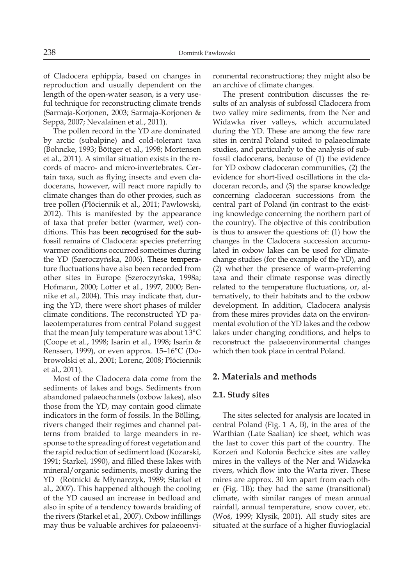of Cladocera ephippia, based on changes in reproduction and usually dependent on the length of the open-water season, is a very useful technique for reconstructing climate trends (Sarmaja-Korjonen, 2003; Sarmaja-Korjonen & Seppä, 2007; Nevalainen et al., 2011).

The pollen record in the YD are dominated by arctic (subalpine) and cold-tolerant taxa (Bohncke, 1993; Böttger et al., 1998; Mortensen et al., 2011). A similar situation exists in the records of macro- and micro-invertebrates. Certain taxa, such as flying insects and even cladocerans, however, will react more rapidly to climate changes than do other proxies, such as tree pollen (Płóciennik et al., 2011; Pawłowski, 2012). This is manifested by the appearance of taxa that prefer better (warmer, wet) conditions. This has been recognised for the subfossil remains of Cladocera: species preferring warmer conditions occurred sometimes during the YD (Szeroczyńska, 2006). These temperature fluctuations have also been recorded from other sites in Europe (Szeroczyńska, 1998a; Hofmann, 2000; Lotter et al., 1997, 2000; Bennike et al., 2004). This may indicate that, during the YD, there were short phases of milder climate conditions. The reconstructed YD palaeotemperatures from central Poland suggest that the mean July temperature was about 13°C (Coope et al., 1998; Isarin et al., 1998; Isarin & Renssen, 1999), or even approx. 15–16°C (Dobrowolski et al., 2001; Lorenc, 2008; Płóciennik et al., 2011).

Most of the Cladocera data come from the sediments of lakes and bogs. Sediments from abandoned palaeochannels (oxbow lakes), also those from the YD, may contain good climate indicators in the form of fossils. In the Bölling, rivers changed their regimes and channel patterns from braided to large meanders in response to the spreading of forest vegetation and the rapid reduction of sediment load (Kozarski, 1991; Starkel, 1990), and filled these lakes with mineral/organic sediments, mostly during the YD (Rotnicki & Młynarczyk, 1989; Starkel et al., 2007). This happened although the cooling of the YD caused an increase in bedload and also in spite of a tendency towards braiding of the rivers (Starkel et al., 2007). Oxbow infillings may thus be valuable archives for palaeoenvironmental reconstructions; they might also be an archive of climate changes.

The present contribution discusses the results of an analysis of subfossil Cladocera from two valley mire sediments, from the Ner and Widawka river valleys, which accumulated during the YD. These are among the few rare sites in central Poland suited to palaeoclimate studies, and particularly to the analysis of subfossil cladocerans, because of (1) the evidence for YD oxbow cladoceran communities, (2) the evidence for short-lived oscillations in the cladoceran records, and (3) the sparse knowledge concerning cladoceran successions from the central part of Poland (in contrast to the existing knowledge concerning the northern part of the country). The objective of this contribution is thus to answer the questions of: (1) how the changes in the Cladocera succession accumulated in oxbow lakes can be used for climatechange studies (for the example of the YD), and (2) whether the presence of warm-preferring taxa and their climate response was directly related to the temperature fluctuations, or, alternatively, to their habitats and to the oxbow development. In addition, Cladocera analysis from these mires provides data on the environmental evolution of the YD lakes and the oxbow lakes under changing conditions, and helps to reconstruct the palaeoenvironmental changes which then took place in central Poland.

# **2. Materials and methods**

# **2.1. Study sites**

The sites selected for analysis are located in central Poland (Fig. 1 A, B), in the area of the Warthian (Late Saalian) ice sheet, which was the last to cover this part of the country. The Korzeń and Kolonia Bechcice sites are valley mires in the valleys of the Ner and Widawka rivers, which flow into the Warta river. These mires are approx. 30 km apart from each other (Fig. 1B); they had the same (transitional) climate, with similar ranges of mean annual rainfall, annual temperature, snow cover, etc. (Woś, 1999; Kłysik, 2001). All study sites are situated at the surface of a higher fluvioglacial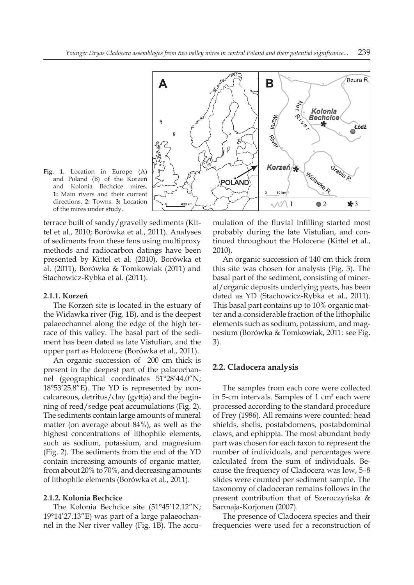

**Fig. 1.** Location in Europe (A) and Poland (B) of the Korzeń and Kolonia Bechcice mires. **1:** Main rivers and their current directions. **2:** Towns. **3:** Location of the mires under study.

terrace built of sandy/gravelly sediments (Kittel et al., 2010; Borówka et al., 2011). Analyses of sediments from these fens using multiproxy methods and radiocarbon datings have been presented by Kittel et al. (2010), Borówka et al. (2011), Borówka & Tomkowiak (2011) and Stachowicz-Rybka et al. (2011).

#### **2.1.1. Korzeń**

The Korzeń site is located in the estuary of the Widawka river (Fig. 1B), and is the deepest palaeochannel along the edge of the high terrace of this valley. The basal part of the sediment has been dated as late Vistulian, and the upper part as Holocene (Borówka et al., 2011).

An organic succession of 200 cm thick is present in the deepest part of the palaeochannel (geographical coordinates 51°28'44.0"N; 18°53'25.8"E). The YD is represented by noncalcareous, detritus/clay (gyttja) and the beginning of reed/sedge peat accumulations (Fig. 2). The sediments contain large amounts of mineral matter (on average about 84%), as well as the highest concentrations of lithophile elements, such as sodium, potassium, and magnesium (Fig. 2). The sediments from the end of the YD contain increasing amounts of organic matter, from about 20% to 70%, and decreasing amounts of lithophile elements (Borówka et al., 2011).

#### **2.1.2. Kolonia Bechcice**

The Kolonia Bechcice site (51°45'12.12"N; 19°14'27.13"E) was part of a large palaeochannel in the Ner river valley (Fig. 1B). The accumulation of the fluvial infilling started most probably during the late Vistulian, and continued throughout the Holocene (Kittel et al., 2010).

An organic succession of 140 cm thick from this site was chosen for analysis (Fig. 3). The basal part of the sediment, consisting of mineral/organic deposits underlying peats, has been dated as YD (Stachowicz-Rybka et al., 2011). This basal part contains up to 10% organic matter and a considerable fraction of the lithophilic elements such as sodium, potassium, and magnesium (Borówka & Tomkowiak, 2011: see Fig. 3).

#### **2.2. Cladocera analysis**

The samples from each core were collected in 5-cm intervals. Samples of  $1 \text{ cm}^3$  each were processed according to the standard procedure of Frey (1986). All remains were counted: head shields, shells, postabdomens, postabdominal claws, and ephippia. The most abundant body part was chosen for each taxon to represent the number of individuals, and percentages were calculated from the sum of individuals. Because the frequency of Cladocera was low, 5–8 slides were counted per sediment sample. The taxonomy of cladoceran remains follows in the present contribution that of Szeroczyńska & Sarmaja-Korjonen (2007).

The presence of Cladocera species and their frequencies were used for a reconstruction of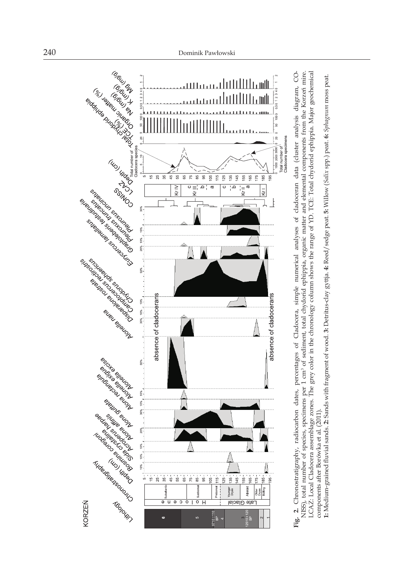



**1:** Medium-grained fluvial sands. **2:** Sands with fragment of wood. **3:** Detritus-clay gyttja. **4:** Reed/sedge peat. **5:** Willow (*Salix* spp.) peat. **6:** *Sphagnum* moss peat. 1: Medium-grained fluvial sands. 2: Sands with fragment of wood. 3: Detritus-clay gyttja. 4: Reed/sedge peat. 5: Willow (Salix spp.) peat. 6: Sphagnum moss peat.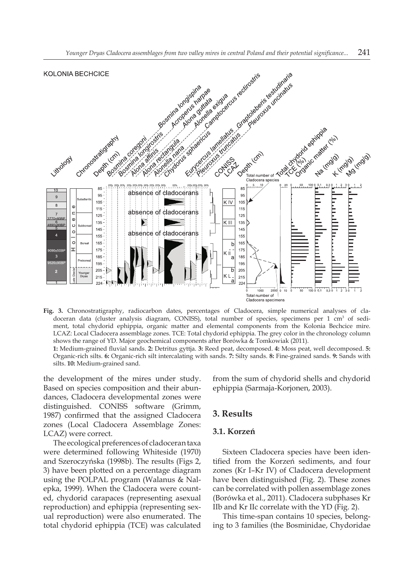

**Fig. 3.** Chronostratigraphy, radiocarbon dates, percentages of Cladocera, simple numerical analyses of cladoceran data (cluster analysis diagram, CONISS), total number of species, specimens per 1 cm<sup>3</sup> of sediment, total chydorid ephippia, organic matter and elemental components from the Kolonia Bechcice mire. LCAZ: Local Cladocera assemblage zones. TCE: Total chydorid ephippia. The grey color in the chronology column shows the range of YD. Major geochemical components after Borówka & Tomkowiak (2011). **1:** Medium-grained fluvial sands. **2:** Detritus gyttja. **3:** Reed peat, decomposed. **4:** Moss peat, well decomposed. **5:** Organic-rich silts. **6:** Organic-rich silt intercalating with sands. **7:** Silty sands. **8:** Fine-grained sands. **9:** Sands with

the development of the mires under study. Based on species composition and their abundances, Cladocera developmental zones were distinguished. CONISS software (Grimm, 1987) confirmed that the assigned Cladocera zones (Local Cladocera Assemblage Zones: LCAZ) were correct.

silts. **10:** Medium-grained sand.

The ecological preferences of cladoceran taxa were determined following Whiteside (1970) and Szeroczyńska (1998b). The results (Figs 2, 3) have been plotted on a percentage diagram using the POLPAL program (Walanus & Nalepka, 1999). When the Cladocera were counted, chydorid carapaces (representing asexual reproduction) and ephippia (representing sexual reproduction) were also enumerated. The total chydorid ephippia (TCE) was calculated from the sum of chydorid shells and chydorid ephippia (Sarmaja-Korjonen, 2003).

# **3. Results**

## **3.1. Korzeń**

Sixteen Cladocera species have been identified from the Korzeń sediments, and four zones (Kr I–Kr IV) of Cladocera development have been distinguished (Fig. 2). These zones can be correlated with pollen assemblage zones (Borówka et al., 2011). Cladocera subphases Kr IIb and Kr IIc correlate with the YD (Fig. 2).

This time-span contains 10 species, belonging to 3 families (the Bosminidae, Chydoridae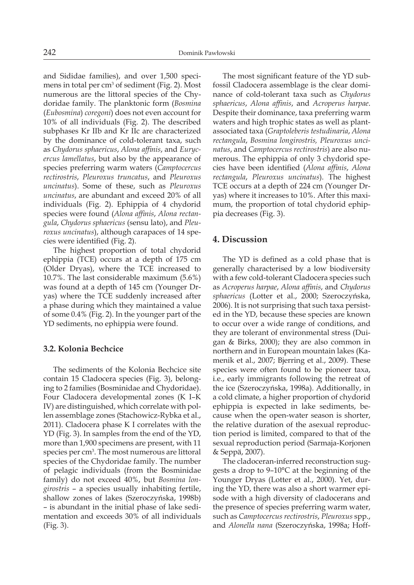and Sididae families), and over 1,500 specimens in total per cm<sup>3</sup> of sediment (Fig. 2). Most numerous are the littoral species of the Chydoridae family. The planktonic form (*Bosmina*  (*Eubosmina*) *coregoni*) does not even account for 10% of all individuals (Fig. 2). The described subphases Kr IIb and Kr IIc are characterized by the dominance of cold-tolerant taxa, such as *Chydorus sphaericus*, *Alona affinis*, and *Eurycercus lamellatus*, but also by the appearance of species preferring warm waters (*Camptocercus rectirostris*, *Pleuroxus truncatus*, and *Pleuroxus uncinatus*). Some of these, such as *Pleuroxus uncinatus*, are abundant and exceed 20% of all individuals (Fig. 2). Ephippia of 4 chydorid species were found (*Alona affinis*, *Alona rectangula*, *Chydorus sphaericus* (sensu lato), and *Pleuroxus uncinatus*), although carapaces of 14 species were identified (Fig. 2).

The highest proportion of total chydorid ephippia (TCE) occurs at a depth of 175 cm (Older Dryas), where the TCE increased to 10.7%. The last considerable maximum (5.6%) was found at a depth of 145 cm (Younger Dryas) where the TCE suddenly increased after a phase during which they maintained a value of some 0.4% (Fig. 2). In the younger part of the YD sediments, no ephippia were found.

#### **3.2. Kolonia Bechcice**

The sediments of the Kolonia Bechcice site contain 15 Cladocera species (Fig. 3), belonging to 2 families (Bosminidae and Chydoridae). Four Cladocera developmental zones (K I–K IV) are distinguished, which correlate with pollen assemblage zones (Stachowicz-Rybka et al., 2011). Cladocera phase K I correlates with the YD (Fig. 3). In samples from the end of the YD, more than 1,900 specimens are present, with 11 species per cm<sup>3</sup>. The most numerous are littoral species of the Chydoridae family. The number of pelagic individuals (from the Bosminidae family) do not exceed 40%, but *Bosmina longirostris* – a species usually inhabiting fertile, shallow zones of lakes (Szeroczyńska, 1998b) – is abundant in the initial phase of lake sedimentation and exceeds 30% of all individuals (Fig. 3).

The most significant feature of the YD subfossil Cladocera assemblage is the clear dominance of cold-tolerant taxa such as *Chydorus sphaericus*, *Alona affinis*, and *Acroperus harpae*. Despite their dominance, taxa preferring warm waters and high trophic states as well as plantassociated taxa (*Graptoleberis testudinaria*, *Alona rectangula*, *Bosmina longirostris, Pleuroxus uncinatus*, and *Camptocercus rectirostris*) are also numerous. The ephippia of only 3 chydorid species have been identified (*Alona affinis*, *Alona rectangula*, *Pleuroxus uncinatus*). The highest TCE occurs at a depth of 224 cm (Younger Dryas) where it increases to 10%. After this maximum, the proportion of total chydorid ephippia decreases (Fig. 3).

#### **4. Discussion**

The YD is defined as a cold phase that is generally characterised by a low biodiversity with a few cold-tolerant Cladocera species such as *Acroperus harpae*, *Alona affinis*, and *Chydorus sphaericus* (Lotter et al., 2000; Szeroczyńska, 2006). It is not surprising that such taxa persisted in the YD, because these species are known to occur over a wide range of conditions, and they are tolerant of environmental stress (Duigan & Birks, 2000); they are also common in northern and in European mountain lakes (Kamenik et al., 2007; Bjerring et al., 2009). These species were often found to be pioneer taxa, i.e., early immigrants following the retreat of the ice (Szeroczyńska, 1998a). Additionally, in a cold climate, a higher proportion of chydorid ephippia is expected in lake sediments, because when the open-water season is shorter, the relative duration of the asexual reproduction period is limited, compared to that of the sexual reproduction period (Sarmaja-Korjonen & Seppä, 2007).

The cladoceran-inferred reconstruction suggests a drop to 9–10°C at the beginning of the Younger Dryas (Lotter et al., 2000). Yet, during the YD, there was also a short warmer episode with a high diversity of cladocerans and the presence of species preferring warm water, such as *Camptocercus rectirostris*, *Pleuroxus* spp., and *Alonella nana* (Szeroczyńska, 1998a; Hoff-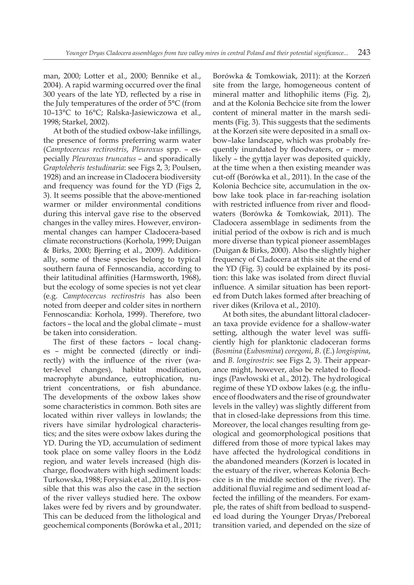man, 2000; Lotter et al., 2000; Bennike et al., 2004). A rapid warming occurred over the final 300 years of the late YD, reflected by a rise in the July temperatures of the order of 5°C (from 10–13°C to 16°C; Ralska-Jasiewiczowa et al., 1998; Starkel, 2002).

At both of the studied oxbow-lake infillings, the presence of forms preferring warm water (*Camptocercus rectirostris*, *Pleuroxus* spp. – especially *Pleuroxus truncatus* – and sporadically *Graptoleberis testudinaria*: see Figs 2, 3; Poulsen, 1928) and an increase in Cladocera biodiversity and frequency was found for the YD (Figs 2, 3). It seems possible that the above-mentioned warmer or milder environmental conditions during this interval gave rise to the observed changes in the valley mires. However, environmental changes can hamper Cladocera-based climate reconstructions (Korhola, 1999; Duigan & Birks, 2000; Bjerring et al., 2009). Additionally, some of these species belong to typical southern fauna of Fennoscandia, according to their latitudinal affinities (Harmsworth, 1968), but the ecology of some species is not yet clear (e.g. *Camptocercus rectirostris* has also been noted from deeper and colder sites in northern Fennoscandia: Korhola, 1999). Therefore, two factors – the local and the global climate – must be taken into consideration.

The first of these factors – local changes – might be connected (directly or indirectly) with the influence of the river (water-level changes), habitat modification, macrophyte abundance, eutrophication, nutrient concentrations, or fish abundance. The developments of the oxbow lakes show some characteristics in common. Both sites are located within river valleys in lowlands; the rivers have similar hydrological characteristics; and the sites were oxbow lakes during the YD. During the YD, accumulation of sediment took place on some valley floors in the Łódź region, and water levels increased (high discharge, floodwaters with high sediment loads: Turkowska, 1988; Forysiak et al., 2010). It is possible that this was also the case in the section of the river valleys studied here. The oxbow lakes were fed by rivers and by groundwater. This can be deduced from the lithological and geochemical components (Borówka et al., 2011;

Borówka & Tomkowiak, 2011): at the Korzeń site from the large, homogeneous content of mineral matter and lithophilic items (Fig. 2), and at the Kolonia Bechcice site from the lower content of mineral matter in the marsh sediments (Fig. 3). This suggests that the sediments at the Korzeń site were deposited in a small oxbow–lake landscape, which was probably frequently inundated by floodwaters, or – more likely – the gyttja layer was deposited quickly, at the time when a then existing meander was cut-off (Borówka et al., 2011). In the case of the Kolonia Bechcice site, accumulation in the oxbow lake took place in far-reaching isolation with restricted influence from river and floodwaters (Borówka & Tomkowiak, 2011). The Cladocera assemblage in sediments from the initial period of the oxbow is rich and is much more diverse than typical pioneer assemblages (Duigan & Birks, 2000). Also the slightly higher frequency of Cladocera at this site at the end of the YD (Fig. 3) could be explained by its position: this lake was isolated from direct fluvial influence. A similar situation has been reported from Dutch lakes formed after breaching of river dikes (Krilova et al., 2010).

At both sites, the abundant littoral cladoceran taxa provide evidence for a shallow-water setting, although the water level was sufficiently high for planktonic cladoceran forms (*Bosmina* (*Eubosmina*) *coregoni*, *B*. (*E*.) *longispina*, and *B. longirostris*: see Figs 2, 3). Their appearance might, however, also be related to floodings (Pawłowski et al., 2012). The hydrological regime of these YD oxbow lakes (e.g. the influence of floodwaters and the rise of groundwater levels in the valley) was slightly different from that in closed-lake depressions from this time. Moreover, the local changes resulting from geological and geomorphological positions that differed from those of more typical lakes may have affected the hydrological conditions in the abandoned meanders (Korzeń is located in the estuary of the river, whereas Kolonia Bechcice is in the middle section of the river). The additional fluvial regime and sediment load affected the infilling of the meanders. For example, the rates of shift from bedload to suspended load during the Younger Dryas/Preboreal transition varied, and depended on the size of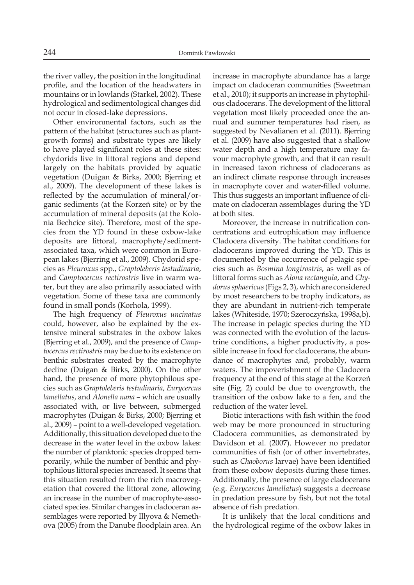the river valley, the position in the longitudinal profile, and the location of the headwaters in mountains or in lowlands (Starkel, 2002). These hydrological and sedimentological changes did not occur in closed-lake depressions.

Other environmental factors, such as the pattern of the habitat (structures such as plantgrowth forms) and substrate types are likely to have played significant roles at these sites: chydorids live in littoral regions and depend largely on the habitats provided by aquatic vegetation (Duigan & Birks, 2000; Bjerring et al., 2009). The development of these lakes is reflected by the accumulation of mineral/organic sediments (at the Korzeń site) or by the accumulation of mineral deposits (at the Kolonia Bechcice site). Therefore, most of the species from the YD found in these oxbow-lake deposits are littoral, macrophyte/sedimentassociated taxa, which were common in European lakes (Bjerring et al., 2009). Chydorid species as *Pleuroxus* spp., *Graptoleberis testudinaria*, and *Camptocercus rectirostris* live in warm water, but they are also primarily associated with vegetation. Some of these taxa are commonly found in small ponds (Korhola, 1999).

The high frequency of *Pleuroxus uncinatus* could, however, also be explained by the extensive mineral substrates in the oxbow lakes (Bjerring et al., 2009), and the presence of *Camptocercus rectirostris* may be due to its existence on benthic substrates created by the macrophyte decline (Duigan & Birks, 2000). On the other hand, the presence of more phytophilous species such as *Graptoleberis testudinaria*, *Eurycercus lamellatus*, and *Alonella nana* – which are usually associated with, or live between, submerged macrophytes (Duigan & Birks, 2000; Bjerring et al., 2009) – point to a well-developed vegetation. Additionally, this situation developed due to the decrease in the water level in the oxbow lakes: the number of planktonic species dropped temporarily, while the number of benthic and phytophilous littoral species increased. It seems that this situation resulted from the rich macrovegetation that covered the littoral zone, allowing an increase in the number of macrophyte-associated species. Similar changes in cladoceran assemblages were reported by Illyova & Nemethova (2005) from the Danube floodplain area. An

increase in macrophyte abundance has a large impact on cladoceran communities (Sweetman et al., 2010); it supports an increase in phytophilous cladocerans. The development of the littoral vegetation most likely proceeded once the annual and summer temperatures had risen, as suggested by Nevalianen et al. (2011). Bjerring et al. (2009) have also suggested that a shallow water depth and a high temperature may favour macrophyte growth, and that it can result in increased taxon richness of cladocerans as an indirect climate response through increases in macrophyte cover and water-filled volume. This thus suggests an important influence of climate on cladoceran assemblages during the YD at both sites.

Moreover, the increase in nutrification concentrations and eutrophication may influence Cladocera diversity. The habitat conditions for cladocerans improved during the YD. This is documented by the occurrence of pelagic species such as *Bosmina longirostris*, as well as of littoral forms such as *Alona rectangula*, and *Chydorus sphaericus* (Figs 2, 3), which are considered by most researchers to be trophy indicators, as they are abundant in nutrient-rich temperate lakes (Whiteside, 1970; Szeroczyńska, 1998a,b). The increase in pelagic species during the YD was connected with the evolution of the lacustrine conditions, a higher productivity, a possible increase in food for cladocerans, the abundance of macrophytes and, probably, warm waters. The impoverishment of the Cladocera frequency at the end of this stage at the Korzeń site (Fig. 2) could be due to overgrowth, the transition of the oxbow lake to a fen, and the reduction of the water level.

Biotic interactions with fish within the food web may be more pronounced in structuring Cladocera communities, as demonstrated by Davidson et al. (2007). However no predator communities of fish (or of other invertebrates, such as *Chaoborus* larvae) have been identified from these oxbow deposits during these times. Additionally, the presence of large cladocerans (e.g. *Eurycercus lamellatus*) suggests a decrease in predation pressure by fish, but not the total absence of fish predation.

It is unlikely that the local conditions and the hydrological regime of the oxbow lakes in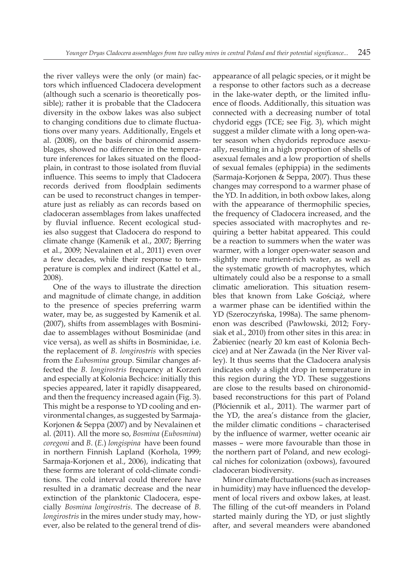the river valleys were the only (or main) factors which influenced Cladocera development (although such a scenario is theoretically possible); rather it is probable that the Cladocera diversity in the oxbow lakes was also subject to changing conditions due to climate fluctuations over many years. Additionally, Engels et al. (2008), on the basis of chironomid assemblages, showed no difference in the temperature inferences for lakes situated on the floodplain, in contrast to those isolated from fluvial influence. This seems to imply that Cladocera records derived from floodplain sediments can be used to reconstruct changes in temperature just as reliably as can records based on cladoceran assemblages from lakes unaffected by fluvial influence. Recent ecological studies also suggest that Cladocera do respond to climate change (Kamenik et al., 2007; Bjerring et al., 2009; Nevalainen et al., 2011) even over a few decades, while their response to temperature is complex and indirect (Kattel et al., 2008).

One of the ways to illustrate the direction and magnitude of climate change, in addition to the presence of species preferring warm water, may be, as suggested by Kamenik et al. (2007), shifts from assemblages with Bosminidae to assemblages without Bosminidae (and vice versa), as well as shifts in Bosminidae, i.e. the replacement of *B. longirostris* with species from the *Eubosmina* group. Similar changes affected the *B. longirostris* frequency at Korzeń and especially at Kolonia Bechcice: initially this species appeared, later it rapidly disappeared, and then the frequency increased again (Fig. 3). This might be a response to YD cooling and environmental changes, as suggested by Sarmaja-Korjonen & Seppa (2007) and by Nevalainen et al. (2011). All the more so, *Bosmina* (*Eubosmina*) *coregoni* and *B*. (*E.*) *longispina* have been found in northern Finnish Lapland (Korhola, 1999; Sarmaja-Korjonen et al., 2006), indicating that these forms are tolerant of cold-climate conditions. The cold interval could therefore have resulted in a dramatic decrease and the near extinction of the planktonic Cladocera, especially *Bosmina longirostris*. The decrease of *B. longirostris* in the mires under study may, however, also be related to the general trend of disappearance of all pelagic species, or it might be a response to other factors such as a decrease in the lake-water depth, or the limited influence of floods. Additionally, this situation was connected with a decreasing number of total chydorid eggs (TCE; see Fig. 3), which might suggest a milder climate with a long open-water season when chydorids reproduce asexually, resulting in a high proportion of shells of asexual females and a low proportion of shells of sexual females (ephippia) in the sediments (Sarmaja-Korjonen & Seppa, 2007). Thus these changes may correspond to a warmer phase of the YD. In addition, in both oxbow lakes, along with the appearance of thermophilic species, the frequency of Cladocera increased, and the species associated with macrophytes and requiring a better habitat appeared. This could be a reaction to summers when the water was warmer, with a longer open-water season and slightly more nutrient-rich water, as well as the systematic growth of macrophytes, which ultimately could also be a response to a small climatic amelioration. This situation resembles that known from Lake Gościąż, where a warmer phase can be identified within the YD (Szeroczyńska, 1998a). The same phenomenon was described (Pawłowski, 2012; Forysiak et al., 2010) from other sites in this area: in Żabieniec (nearly 20 km east of Kolonia Bechcice) and at Ner Zawada (in the Ner River valley). It thus seems that the Cladocera analysis indicates only a slight drop in temperature in this region during the YD. These suggestions are close to the results based on chironomidbased reconstructions for this part of Poland (Płóciennik et al., 2011). The warmer part of the YD, the area's distance from the glacier, the milder climatic conditions – characterised by the influence of warmer, wetter oceanic air masses – were more favourable than those in the northern part of Poland, and new ecological niches for colonization (oxbows), favoured cladoceran biodiversity.

Minor climate fluctuations (such as increases in humidity) may have influenced the development of local rivers and oxbow lakes, at least. The filling of the cut-off meanders in Poland started mainly during the YD, or just slightly after, and several meanders were abandoned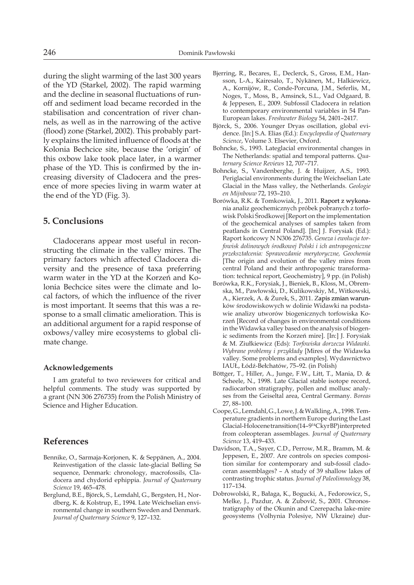during the slight warming of the last 300 years of the YD (Starkel, 2002). The rapid warming and the decline in seasonal fluctuations of runoff and sediment load became recorded in the stabilisation and concentration of river channels, as well as in the narrowing of the active (flood) zone (Starkel, 2002). This probably partly explains the limited influence of floods at the Kolonia Bechcice site, because the 'origin' of this oxbow lake took place later, in a warmer phase of the YD. This is confirmed by the increasing diversity of Cladocera and the presence of more species living in warm water at the end of the YD (Fig. 3).

#### **5. Conclusions**

Cladocerans appear most useful in reconstructing the climate in the valley mires. The primary factors which affected Cladocera diversity and the presence of taxa preferring warm water in the YD at the Korzeń and Kolonia Bechcice sites were the climate and local factors, of which the influence of the river is most important. It seems that this was a response to a small climatic amelioration. This is an additional argument for a rapid response of oxbows/valley mire ecosystems to global climate change.

#### **Acknowledgements**

I am grateful to two reviewers for critical and helpful comments. The study was supported by a grant (NN 306 276735) from the Polish Ministry of Science and Higher Education.

# **References**

- Bennike, O., Sarmaja-Korjonen, K. & Seppänen, A., 2004. Reinvestigation of the classic late-glacial Bølling Sø sequence, Denmark: chronology, macrofossils, Cladocera and chydorid ephippia. *Journal of Quaternary Science* 19, 465–478.
- Berglund, B.E., Björck, S., Lemdahl, G., Bergsten, H., Nordberg, K. & Kolstrup, E., 1994. Late Weichselian environmental change in southern Sweden and Denmark. *Journal of Quaternary Science* 9, 127–132.
- Bjerring, R., Becares, E., Declerck, S., Gross, E.M., Hansson, L-A., Kairesalo, T., Nykänen, M., Halkiewicz, A., Kornijów, R., Conde-Porcuna, J.M., Seferlis, M., Noges, T., Moss, B., Amsinck, S.L., Vad Odgaard, B. & Jeppesen, E., 2009. Subfossil Cladocera in relation to contemporary environmental variables in 54 Pan-European lakes. *Freshwater Biology* 54, 2401–2417.
- Björck, S., 2006. Younger Dryas oscillation, global evidence. [In:] S.A. Elias (Ed.): *Encyclopedia of Quaternary Science*, Volume 3. Elsevier, Oxford.
- Bohncke, S., 1993. Lateglacial environmental changes in The Netherlands: spatial and temporal patterns. *Quaternary Science Reviews* 12, 707–717.
- Bohncke, S., Vandenberghe, J. & Huijzer, A.S., 1993. Periglacial environments during the Weichselian Late Glacial in the Mass valley, the Netherlands. *Geologie en Mijnbouw* 72, 193–210.
- Borówka, R.K. & Tomkowiak, J., 2011. Raport z wykonania analiz geochemicznych próbek pobranych z torfowisk Polski Środkowej [Report on the implementation of the geochemical analyses of samples taken from peatlands in Central Poland]. [In:] J. Forysiak (Ed.): Raport końcowy N N306 276735. *Geneza i ewolucja torfowisk dolinowych środkowej Polski i ich antropogeniczne przekształcenia: Sprawozdanie merytoryczne, Geochemia* [The origin and evolution of the valley mires from central Poland and their anthropogenic transformation: technical report, Geochemistry], 9 pp. (in Polish)
- Borówka, R.K., Forysiak, J., Bieniek, B., Kloss, M., Obremska, M., Pawłowski, D., Kulikowskiy, M., Witkowski, A., Kierzek, A. & Żurek, S., 2011. Zapis zmian warunków środowiskowych w dolinie Widawki na podstawie analizy utworów biogenicznych torfowiska Korzeń [Record of changes in environmental conditions in the Widawka valley based on the analysis of biogenic sediments from the Korzeń mire]. [In:] J. Forysiak & M. Ziułkiewicz (Eds): *Torfowiska dorzecza Widawki. Wybrane problemy i przykłady* [Mires of the Widawka valley. Some problems and examples]. Wydawnictwo IAUŁ, Łódź-Bełchatów, 75–92. (in Polish)
- Böttger, T., Hiller, A., Junge, F.W., Litt, T., Mania, D. & Scheele, N., 1998. Late Glacial stable isotope record, radiocarbon stratigraphy, pollen and mollusc analyses from the Geiseltal area, Central Germany. *Boreas* 27, 88–100.
- Coope, G., Lemdahl, G., Lowe, J. & Walkling, A., 1998. Temperature gradients in northern Europe during the Last Glacial-Holocene transition (14-9<sup>14</sup>CkyrBP) interpreted from coleopteran assemblages. *Journal of Quaternary Science* 13, 419–433.
- Davidson, T.A., Sayer, C.D., Perrow, M.R., Bramm, M. & Jeppesen, E., 2007. Are controls on species composition similar for contemporary and sub-fossil cladoceran assemblages? – A study of 39 shallow lakes of contrasting trophic status. *Journal of Paleolimnology* 38, 117–134.
- Dobrowolski, R., Bałaga, K., Bogucki, A., Fedorowicz, S., Melke, J., Pazdur, A. & Zubovič, S., 2001. Chronostratigraphy of the Okunin and Czerepacha lake-mire geosystems (Volhynia Polesiye, NW Ukraine) dur-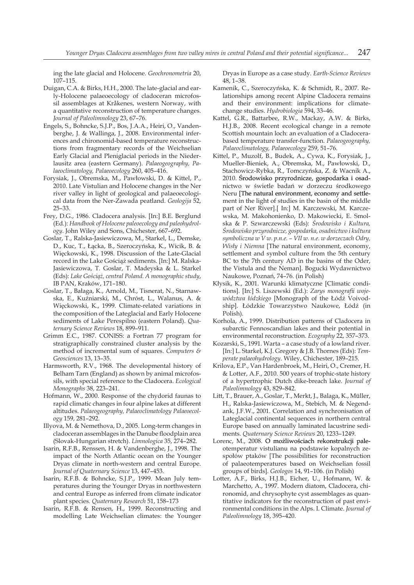ing the late glacial and Holocene. *Geochronometria* 20, 107–115.

- Duigan, C.A. & Birks, H.H., 2000. The late-glacial and early-Holocene palaeoecology of cladoceran microfossil assemblages at Kråkenes, western Norway, with a quantitative reconstruction of temperature changes. *Journal of Paleolimnology* 23, 67–76.
- Engels, S., Bohncke, S.J.P., Bos, J.A.A., Heiri, O., Vandenberghe, J. & Wallinga, J., 2008. Environmental inferences and chironomid-based temperature reconstructions from fragmentary records of the Weichselian Early Glacial and Pleniglacial periods in the Niederlausitz area (eastern Germany). *Palaeogeography, Palaeoclimatology, Palaeoecology* 260, 405–416.
- Forysiak, J., Obremska, M., Pawłowski, D. & Kittel, P., 2010. Late Vistulian and Holocene changes in the Ner river valley in light of geological and palaeoecological data from the Ner-Zawada peatland. *Geologija* 52, 25–33.
- Frey, D.G., 1986. Cladocera analysis. [In:] B.E. Berglund (Ed.): *Handbook of Holocene paleoecology and paleohydrology*. John Wiley and Sons, Chichester, 667–692.
- Goslar, T., Ralska-Jasiewiczowa, M., Starkel, L., Demske, D., Kuc, T., Łącka, B., Szeroczyńska, K., Wicik, B. & Więckowski, K., 1998. Discussion of the Late-Glacial record in the Lake Gościąż sediments. [In:] M. Ralska-Jasiewiczowa, T. Goslar, T. Madeyska & L. Starkel (Eds): *Lake Gościąż, central Poland. A monographic study*, IB PAN, Kraków, 171–180.
- Goslar, T., Bałaga, K., Arnold, M., Tisnerat, N., Starnawska, E., Kuźniarski, M., Chróst, L., Walanus, A. & Więckowski, K., 1999. Climate-related variations in the composition of the Lateglacial and Early Holocene sediments of Lake Perespilno (eastern Poland). *Quaternary Science Reviews* 18, 899–911.
- Grimm E.C., 1987. CONISS: a Fortran 77 program for stratigraphically constrained cluster analysis by the method of incremental sum of squares. *Computers & Geosciences* 13, 13–35.
- Harmsworth, R.V., 1968. The developmental history of Belham Tarn (England) as shown by animal microfossils, with special reference to the Cladocera. *Ecological Monographs* 38, 223–241.
- Hofmann, W., 2000. Response of the chydorid faunas to rapid climatic changes in four alpine lakes at different altitudes. *Palaeogeography, Palaeoclimatology Palaeoecology* 159, 281–292.
- Illyova, M. & Nemethova, D., 2005. Long-term changes in cladoceran assemblages in the Danube floodplain area (Slovak-Hungarian stretch). *Limnologica* 35, 274–282.
- Isarin, R.F.B., Renssen, H. & Vandenberghe, J., 1998. The impact of the North Atlantic ocean on the Younger Dryas climate in north-western and central Europe. *Journal of Quaternary Science* 13, 447–453.
- Isarin, R.F.B. & Bohncke, S.J.P., 1999. Mean July temperatures during the Younger Dryas in northwestern and central Europe as inferred from climate indicator plant species. *Quaternary Research* 51, 158–173
- Isarin, R.F.B. & Rensen, H., 1999. Reconstructing and modelling Late Weichselian climates: the Younger

Dryas in Europe as a case study. *Earth-Science Reviews* 48, 1–38.

- Kamenik, C., Szeroczyńska, K. & Schmidt, R., 2007. Relationships among recent Alpine Cladocera remains and their environment: implications for climatechange studies. *Hydrobiologia* 594, 33–46.
- Kattel, G.R., Battarbee, R.W., Mackay, A.W. & Birks, H.J.B., 2008. Recent ecological change in a remote Scottish mountain loch: an evaluation of a Cladocerabased temperature transfer-function. *Palaeogeography, Palaeoclimatology, Palaeoecology* 259, 51–76.
- Kittel, P., Muzolf, B., Budek, A., Cywa, K., Forysiak, J., Mueller-Bieniek, A., Obremska, M., Pawłowski, D., Stachowicz-Rybka, R., Tomczyńska, Z. & Wacnik A., 2010. Środowisko przyrodnicze, gospodarka i osadnictwo w świetle badań w dorzeczu środkowego Neru [The natural environment, economy and settlement in the light of studies in the basin of the middle part of Ner River].[ In:] M. Karczewski, M. Karczewska, M. Makohonienko, D. Makowiecki, E. Smolska & P. Szwarczewski (Eds): *Środowisko i Kultura, Środowisko przyrodnicze, gospodarka, osadnictwo i kultura symboliczna w V w. p.n.e. – VII w. n.e. w dorzeczach Odry, Wisły i Niemna* [The natural environment, economy, settlement and symbol culture from the 5th century BC to the 7th century AD in the basins of the Oder, the Vistula and the Neman]. Bogucki Wydawnictwo Naukowe, Poznań, 74–76. (in Polish)
- Kłysik, K., 2001. Warunki klimatyczne [Climatic conditions]. [In:] S. Liszewski (Ed.): *Zarys monografii województwa łódzkiego* [Monograph of the Łódź Voivodship]. Łódzkie Towarzystwo Naukowe, Łódź (in Polish).
- Korhola, A., 1999. Distribution patterns of Cladocera in subarctic Fennoscandian lakes and their potential in environmental reconstruction. *Ecography* 22, 357–373.
- Kozarski, S., 1991. Warta a case study of a lowland river. [In:] L. Starkel, K.J. Gregory & J.B. Thornes (Eds): *Temperate palaeohydrology*. Wiley, Chichester, 189–215.
- Krilova, E.P., Van Hardenbroek, M., Heiri, O., Cremer, H. & Lotter, A.F., 2010. 500 years of trophic-state history of a hypertrophic Dutch dike-breach lake. *Journal of Paleolimnology* 43, 829–842.
- Litt, T., Brauer, A., Goslar, T., Merkt, J., Balaga, K., Müller, H., Ralska-Jasiewiczowa, M., Stebich, M. & Negendank, J.F.W., 2001. Correlation and synchronisation of Lateglacial continental sequences in northern central Europe based on annually laminated lacustrine sediments. *Quaternary Science Reviews* 20, 1233–1249.
- Lorenc, M., 2008. O możliwościach rekonstrukcji paleotemperatur vistulianu na podstawie kopalnych zespołów ptaków [The possibilities for reconstruction of palaeotemperatures based on Weichselian fossil groups of birds]. *Geologos* 14, 91–106. (in Polish)
- Lotter, A.F., Birks, H.J.B., Eicher, U., Hofmann, W. & Marchetto, A., 1997. Modern diatom, Cladocera, chironomid, and chrysophyte cyst assemblages as quantitative indicators for the reconstruction of past environmental conditions in the Alps. I. Climate. *Journal of Paleolimnology* 18, 395–420.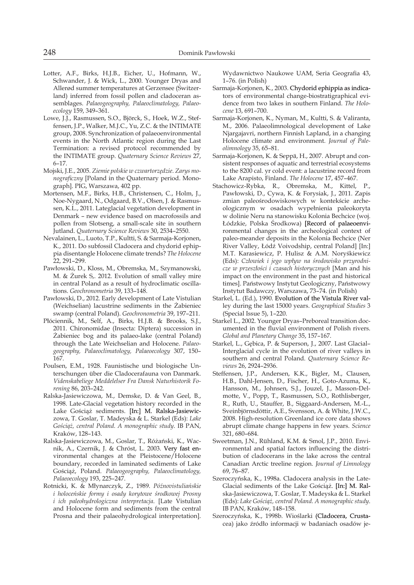- Lotter, A.F., Birks, H.J.B., Eicher, U., Hofmann, W., Schwander, J. & Wick, L., 2000. Younger Dryas and Allerød summer temperatures at Gerzensee (Switzerland) inferred from fossil pollen and cladoceran assemblages. *Palaeogeography, Palaeoclimatology, Palaeoecology* 159, 349–361.
- Lowe, J.J., Rasmussen, S.O., Björck, S., Hoek, W.Z., Steffensen, J.P., Walker, M.J.C., Yu, Z.C. & the INTIMATE group, 2008. Synchronization of palaeoenvironmental events in the North Atlantic region during the Last Termination: a revised protocol recommended by the INTIMATE group. *Quaternary Science Reviews* 27, 6–17.
- Mojski, J.E., 2005. *Ziemie polskie w czwartorzędzie*. *Zarys monograficzny* [Poland in the Quaternary period. Monograph]. PIG, Warszawa, 402 pp.
- Mortensen, M.F., Birks, H.B., Christensen, C., Holm, J., Noe-Nygaard, N., Odgaard, B.V., Olsen, J. & Rasmussen, K.L., 2011. Lateglacial vegetation development in Denmark – new evidence based on macrofossils and pollen from Slotseng, a small-scale site in southern Jutland. *Quaternary Science Reviews* 30, 2534–2550.
- Nevalainen, L., Luoto, T.P., Kultti, S. & Sarmaja-Korjonen, K., 2011. Do subfossil Cladocera and chydorid ephippia disentangle Holocene climate trends? *The Holocene* 22, 291–299.
- Pawłowski, D., Kloss, M., Obremska, M., Szymanowski, M. & Żurek S,. 2012. Evolution of small valley mire in central Poland as a result of hydroclimatic oscillations. *Geochronometria* 39, 133–148.
- Pawłowski, D., 2012. Early development of Late Vistulian (Weichselian) lacustrine sediments in the Żabieniec swamp (central Poland). *Geochronometria* 39, 197–211.
- Płóciennik, M., Self, A., Birks, H.J.B. & Brooks, S.J., 2011. Chironomidae (Insecta: Diptera) succession in Żabieniec bog and its palaeo-lake (central Poland) through the Late Weichselian and Holocene. *Palaeogeography, Palaeoclimatology, Palaeoecology* 307, 150– 167.
- Poulsen, E.M., 1928. Faunistische und biologische Unterschungen über die Cladocerafauna von Danmark. *Videnskabeliege Meddelelser Fra Dansk Naturhistorik Forening* 86, 203–242.
- Ralska-Jasiewiczowa, M., Demske, D. & Van Geel, B., 1998. Late-Glacial vegetation history recorded in the Lake Gościąż sediments. [In:] M. Ralska-Jasiewiczowa, T. Goslar, T. Madeyska & L. Starkel (Eds): *Lake Gościąż, central Poland. A monographic study*. IB PAN, Kraków, 128–143.
- Ralska-Jasiewiczowa, M., Goslar, T., Różański, K., Wacnik, A., Czernik, J. & Chróst, L. 2003. Very fast environmental changes at the Pleistocene/Holocene boundary, recorded in laminated sediments of Lake Gościąż, Poland. *Palaeogeography, Palaeoclimatology, Palaeoecology* 193, 225–247.
- Rotnicki, K. & Młynarczyk, Z., 1989. *Późnovistuliańskie i holoceńskie formy i osady korytowe środkowej Prosny i ich paleohydrologiczna interpretacja*. [Late Vistulian and Holocene form and sediments from the central Prosna and their palaeohydrological interpretation].

Wydawnictwo Naukowe UAM, Seria Geografia 43, 1–76. (in Polish)

- Sarmaja-Korjonen, K., 2003. Chydorid ephippia as indicators of environmental change-biostratigraphical evidence from two lakes in southern Finland. *The Holocene* 13, 691–700.
- Sarmaja-Korjonen, K., Nyman, M., Kultti, S. & Valiranta, M., 2006. Palaeolimnological development of Lake Njargajavri, northern Finnish Lapland, in a changing Holocene climate and environment. *Journal of Paleolimnology* 35, 65–81.
- Sarmaja-Korjonen, K. & Seppä, H., 2007. Abrupt and consistent responses of aquatic and terrestrial ecosystems to the 8200 cal. yr cold event: a lacustrine record from Lake Arapisto, Finland. *The Holocene* 17, 457–467.
- Stachowicz-Rybka, R., Obremska, M., Kittel, P., Pawłowski, D., Cywa, K. & Forysiak, J., 2011. Zapis zmian paleośrodowiskowych w kontekście archeologicznym w osadach wypełnienia paleokoryta w dolinie Neru na stanowisku Kolonia Bechcice (woj. Łódzkie, Polska Środkowa) [Record of palaeoenvironmental changes in the archeological context of paleo-meander deposits in the Kolonia Bechcice (Ner River Valley, Łódź Voivodship, central Poland] [In:] M.T. Karasiewicz, P. Hulisz & A.M. Noryśkiewicz (Eds): *Człowiek i jego wpływ na środowisko przyrodnicze w przeszłości i czasach historycznych* [Man and his impact on the environment in the past and historical times]. Państwowy Instytut Geologiczny, Państwowy Instytut Badawczy, Warszawa, 73–74. (in Polish)
- Starkel, L. (Ed.), 1990. Evolution of the Vistula River valley during the last 15000 years. *Geographical Studies* 3 (Special Issue 5), 1–220.
- Starkel L., 2002. Younger Dryas–Preboreal transition documented in the fluvial environment of Polish rivers. *Global and Planetary Change* 35, 157–167.
- Starkel, L., Gębica, P. & Superson, J., 2007. Last Glacial– Interglacial cycle in the evolution of river valleys in southern and central Poland. *Quaternary Science Reviews* 26, 2924–2936.
- Steffensen, J.P., Andersen, K.K., Bigler, M., Clausen, H.B., Dahl-Jensen, D., Fischer, H., Goto-Azuma, K., Hansson, M., Johnsen, S.J., Jouzel, J., Masson-Delmotte, V., Popp, T., Rasmussen, S.O., Rothlisberger, R., Ruth, U., Stauffer, B., Siggaard-Andersen, M.-L., Sveinbjörnsdóttir, A.E., Svensson, A. & White, J.W.C., 2008. High-resolution Greenland ice core data shows abrupt climate change happens in few years. *Science* 321, 680–684.
- Sweetman, J.N., Rühland, K.M. & Smol, J.P., 2010. Environmental and spatial factors influencing the distribution of cladocerans in the lake across the central Canadian Arctic treeline region. *Journal of Limnology* 69, 76–87.
- Szeroczyńska, K., 1998a. Cladocera analysis in the Late-Glacial sediments of the Lake Gościąż. [In:] M. Ralska-Jasiewiczowa, T. Goslar, T. Madeyska & L. Starkel (Eds): *Lake Gościąż, central Poland. A monographic study*. IB PAN, Kraków, 148–158.
- Szeroczyńska, K., 1998b. Wioślarki (Cladocera, Crustacea) jako źródło informacji w badaniach osadów je-